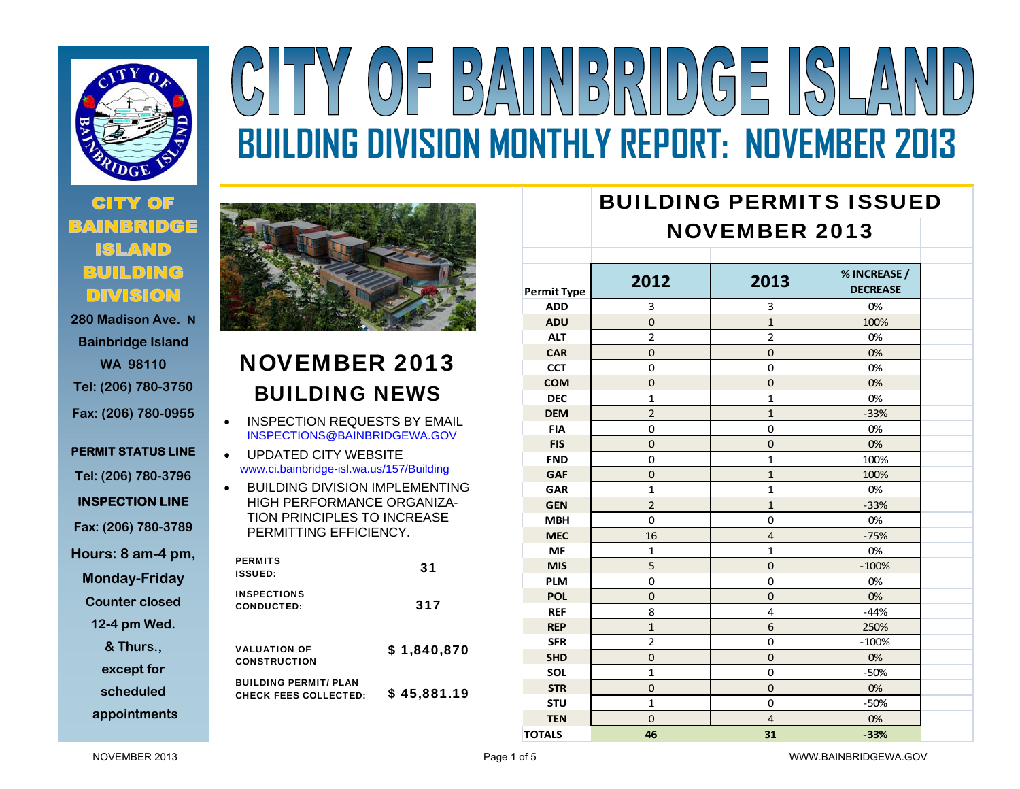

## $\frac{1}{2} \frac{1}{2} \frac{1}{2} \frac{1}{2} \frac{1}{2} \frac{1}{2} \frac{1}{2} \frac{1}{2} \frac{1}{2} \frac{1}{2} \frac{1}{2} \frac{1}{2} \frac{1}{2} \frac{1}{2} \frac{1}{2} \frac{1}{2} \frac{1}{2} \frac{1}{2} \frac{1}{2} \frac{1}{2} \frac{1}{2} \frac{1}{2} \frac{1}{2} \frac{1}{2} \frac{1}{2} \frac{1}{2} \frac{1}{2} \frac{1}{2} \frac{1}{2} \frac{1}{2} \frac{1}{2} \frac{$  $(0)\mathsf{F}$  | **BUILDING DIVISION MONTHLY REPORT: NOVEMBER 2013**

# **280 Madison Ave. N**

**Bainbridge Island WA 98110 Tel: (206) 780-3750 Fax: (206) 780-0955** 

**PERMIT STATUS LINE Tel: (206) 780-3796 INSPECTION LINE Fax: (206) 780-3789 Hours: 8 am-4 pm, Monday-Friday Counter closed** 

**12-4 pm Wed.** 

**& Thurs.,** 

**except for** 

**scheduled** 

**appointments**



### NOVEMBER 2013 BUILDING NEWS

 $\bullet$  INSPECTION REQUESTS BY EMAIL INSPECTIONS@BAINBRIDGEWA.GOV

 $\bullet$  UPDATED CITY WEBSITE www.ci.bainbridge-isl.wa.us/157/Building

 $\bullet$  BUILDING DIVISION IMPLEMENTING HIGH PERFORMANCE ORGANIZA-TION PRINCIPLES TO INCREASE PERMITTING EFFICIENCY.

| <b>PERMITS</b><br><b>ISSUED:</b>                             | 31          |
|--------------------------------------------------------------|-------------|
| <b>INSPECTIONS</b><br><b>CONDUCTED:</b>                      | 317         |
| <b>VALUATION OF</b><br><b>CONSTRUCTION</b>                   | \$1,840,870 |
| <b>BUILDING PERMIT/ PLAN</b><br><b>CHECK FEES COLLECTED:</b> | \$45,881.19 |

#### BUILDING PERMITS ISSUEDNOVEMBER 2013**Permit Type 2012 2013% INCREASE / DECREASEADDD** | 3 | 3 | 0% **ADU**U | 0 | 1 | 100% **ALT**T | 2 | 2 | 0% **CAR**R | 0 | 0 | 0% **CCT**T | 0 | 0 | 0% **COMM** | 0 | 0 | 0% **DECc** | 1 | 1 | 0% **DEMM** | 2 | 1 | -33% **FIA** 0 0 0%**FIS** 0 0 0%**FNDD** 0 1 1 100% **GAF**F | 0 | 1 | 100% **GARR** 1 1 1 0% **GENN**  $\vert$  2 and 1 and 1 and 2 and 2 and 2 and 2 and 2 and 2 and 2 and 2 and 2 and 2 and 2 and 2 and 2 and 2 and 2 and 2 and 2 and 2 and 2 and 2 and 2 and 2 and 2 and 2 and 2 and 2 and 2 and 2 and 2 and 2 and 2 and 2 and 2 **MBH**H | 0 | 0 | 0% **MECC** | 16 | 4 | -75% **MFF** 1 1 1 0% **MIS** 5 0 $0$   $-100\%$ **PLMM** 0 0 0 0 0% **POL**L | 0 | 0 0% **REF** 8 44 -44% **REPP** 250% **SFRR** | 2 | 0 | -100% **SHDD** 0 0 0 0 0% **SOL** 1 0 $0 \t -50\%$ **STR** 0 0 0%**STUU** and the set of the set of  $1$  and  $0$  and  $1$   $-50\%$

**N** | 0 | 4 | 0%

**TOTALS 46 31**

NOVEMBER 2013

**TEN**

**‐33%**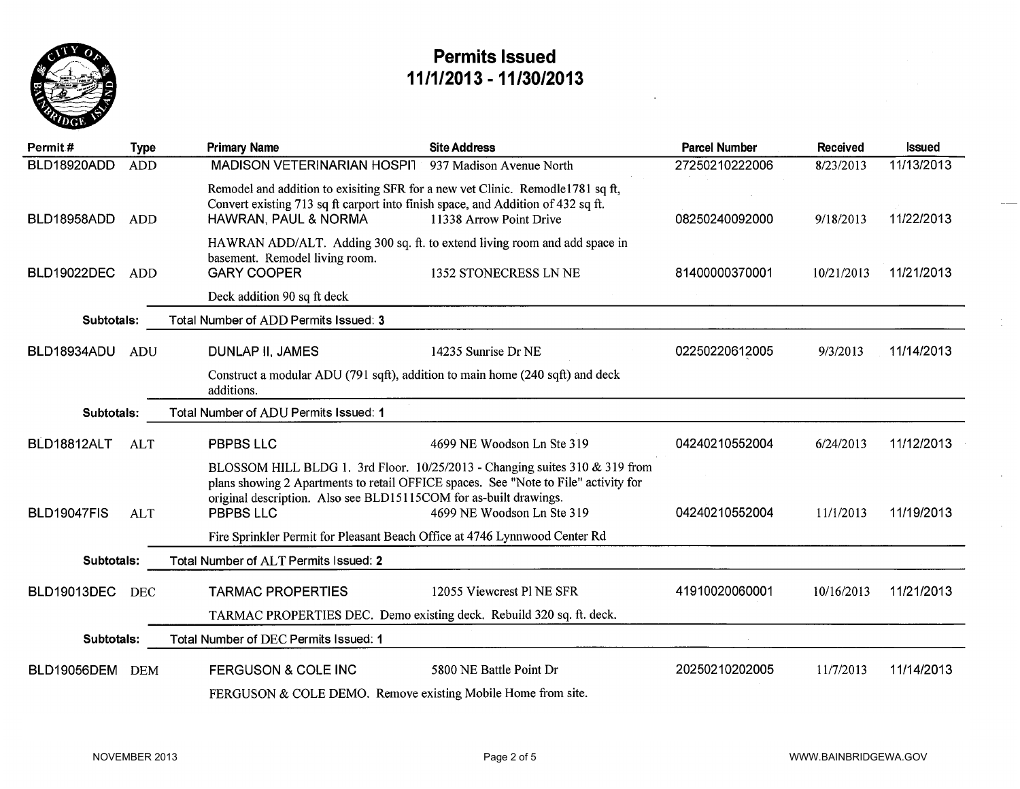

| Permit#            | <b>Type</b> | <b>Primary Name</b>                                                                                                                                                                        | <b>Site Address</b>                                                                                                                                                                              | <b>Parcel Number</b> | Received   | <b>Issued</b> |
|--------------------|-------------|--------------------------------------------------------------------------------------------------------------------------------------------------------------------------------------------|--------------------------------------------------------------------------------------------------------------------------------------------------------------------------------------------------|----------------------|------------|---------------|
| BLD18920ADD        | <b>ADD</b>  | MADISON VETERINARIAN HOSPI 937 Madison Avenue North                                                                                                                                        |                                                                                                                                                                                                  | 27250210222006       | 8/23/2013  | 11/13/2013    |
| BLD18958ADD        | <b>ADD</b>  | Remodel and addition to exisiting SFR for a new vet Clinic. Remodle1781 sq ft,<br>Convert existing 713 sq ft carport into finish space, and Addition of 432 sq ft.<br>HAWRAN, PAUL & NORMA | 11338 Arrow Point Drive                                                                                                                                                                          | 08250240092000       | 9/18/2013  | 11/22/2013    |
| <b>BLD19022DEC</b> | <b>ADD</b>  | HAWRAN ADD/ALT. Adding 300 sq. ft. to extend living room and add space in<br>basement. Remodel living room.<br><b>GARY COOPER</b>                                                          | 1352 STONECRESS LN NE                                                                                                                                                                            | 81400000370001       | 10/21/2013 | 11/21/2013    |
|                    |             | Deck addition 90 sq ft deck                                                                                                                                                                |                                                                                                                                                                                                  |                      |            |               |
| Subtotals:         |             | Total Number of ADD Permits Issued: 3                                                                                                                                                      |                                                                                                                                                                                                  |                      |            |               |
| BLD18934ADU        | <b>ADU</b>  | <b>DUNLAP II, JAMES</b>                                                                                                                                                                    | 14235 Sunrise Dr NE                                                                                                                                                                              | 02250220612005       | 9/3/2013   | 11/14/2013    |
|                    |             | Construct a modular ADU (791 sqft), addition to main home (240 sqft) and deck<br>additions.                                                                                                |                                                                                                                                                                                                  |                      |            |               |
| Subtotals:         |             | Total Number of ADU Permits Issued: 1                                                                                                                                                      |                                                                                                                                                                                                  |                      |            |               |
| BLD18812ALT        | <b>ALT</b>  | <b>PBPBS LLC</b>                                                                                                                                                                           | 4699 NE Woodson Ln Ste 319                                                                                                                                                                       | 04240210552004       | 6/24/2013  | 11/12/2013    |
| <b>BLD19047FIS</b> | <b>ALT</b>  | original description. Also see BLD15115COM for as-built drawings.<br><b>PBPBS LLC</b><br>Fire Sprinkler Permit for Pleasant Beach Office at 4746 Lynnwood Center Rd                        | BLOSSOM HILL BLDG 1. 3rd Floor. 10/25/2013 - Changing suites 310 & 319 from<br>plans showing 2 Apartments to retail OFFICE spaces. See "Note to File" activity for<br>4699 NE Woodson Ln Ste 319 | 04240210552004       | 11/1/2013  | 11/19/2013    |
| Subtotals:         |             | Total Number of ALT Permits Issued: 2                                                                                                                                                      |                                                                                                                                                                                                  |                      |            |               |
| <b>BLD19013DEC</b> | <b>DEC</b>  | <b>TARMAC PROPERTIES</b><br>TARMAC PROPERTIES DEC. Demo existing deck. Rebuild 320 sq. ft. deck.                                                                                           | 12055 Viewcrest Pl NE SFR                                                                                                                                                                        | 41910020060001       | 10/16/2013 | 11/21/2013    |
| Subtotals:         |             | Total Number of DEC Permits Issued: 1                                                                                                                                                      |                                                                                                                                                                                                  |                      |            |               |
| <b>BLD19056DEM</b> | <b>DEM</b>  | <b>FERGUSON &amp; COLE INC</b><br>FERGUSON & COLE DEMO. Remove existing Mobile Home from site.                                                                                             | 5800 NE Battle Point Dr                                                                                                                                                                          | 20250210202005       | 11/7/2013  | 11/14/2013    |

 $\frac{1}{4}$ 

 $\mathcal{L}$ 

 $\mathcal{L}$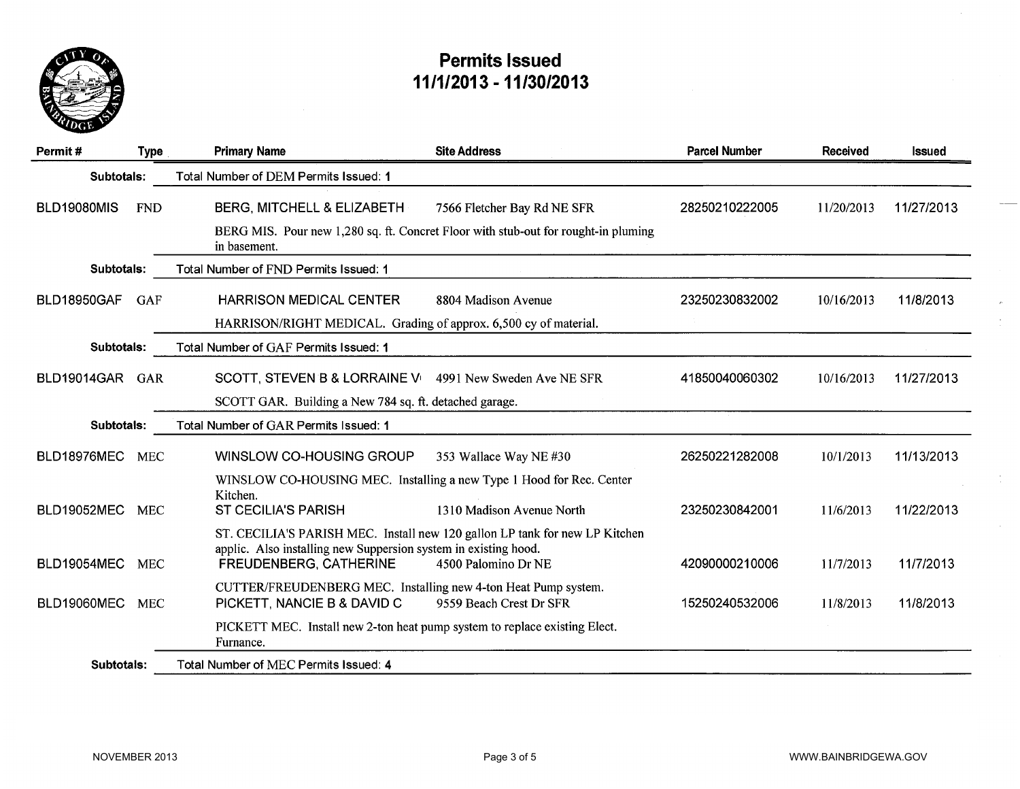

| Permit#            | <b>Type</b> | <b>Primary Name</b>                                                                           | <b>Site Address</b>                                                                                               | <b>Parcel Number</b> | Received   | Issued     |
|--------------------|-------------|-----------------------------------------------------------------------------------------------|-------------------------------------------------------------------------------------------------------------------|----------------------|------------|------------|
| Subtotals:         |             | Total Number of DEM Permits Issued: 1                                                         |                                                                                                                   |                      |            |            |
| <b>BLD19080MIS</b> | <b>FND</b>  | BERG, MITCHELL & ELIZABETH                                                                    | 7566 Fletcher Bay Rd NE SFR<br>BERG MIS. Pour new 1,280 sq. ft. Concret Floor with stub-out for rought-in pluming | 28250210222005       | 11/20/2013 | 11/27/2013 |
|                    |             | in basement.                                                                                  |                                                                                                                   |                      |            |            |
| Subtotals:         |             | Total Number of FND Permits Issued: 1                                                         |                                                                                                                   |                      |            |            |
| <b>BLD18950GAF</b> | <b>GAF</b>  | <b>HARRISON MEDICAL CENTER</b>                                                                | 8804 Madison Avenue                                                                                               | 23250230832002       | 10/16/2013 | 11/8/2013  |
|                    |             | HARRISON/RIGHT MEDICAL. Grading of approx. 6,500 cy of material.                              |                                                                                                                   |                      |            |            |
| Subtotals:         |             | Total Number of GAF Permits Issued: 1                                                         |                                                                                                                   |                      |            |            |
| BLD19014GAR GAR    |             | SCOTT, STEVEN B & LORRAINE V 4991 New Sweden Ave NE SFR                                       |                                                                                                                   | 41850040060302       | 10/16/2013 | 11/27/2013 |
|                    |             | SCOTT GAR. Building a New 784 sq. ft. detached garage.                                        |                                                                                                                   |                      |            |            |
| Subtotals:         |             | Total Number of GAR Permits Issued: 1                                                         |                                                                                                                   |                      |            |            |
| BLD18976MEC        | <b>MEC</b>  | WINSLOW CO-HOUSING GROUP                                                                      | 353 Wallace Way NE #30                                                                                            | 26250221282008       | 10/1/2013  | 11/13/2013 |
|                    |             | WINSLOW CO-HOUSING MEC. Installing a new Type 1 Hood for Rec. Center                          |                                                                                                                   |                      |            |            |
| <b>BLD19052MEC</b> | <b>MEC</b>  | Kitchen.<br><b>ST CECILIA'S PARISH</b>                                                        | 1310 Madison Avenue North                                                                                         | 23250230842001       | 11/6/2013  | 11/22/2013 |
|                    |             | applic. Also installing new Suppersion system in existing hood.                               | ST. CECILIA'S PARISH MEC. Install new 120 gallon LP tank for new LP Kitchen                                       |                      |            |            |
| BLD19054MEC        | <b>MEC</b>  | <b>FREUDENBERG, CATHERINE</b>                                                                 | 4500 Palomino Dr NE                                                                                               | 42090000210006       | 11/7/2013  | 11/7/2013  |
| BLD19060MEC        | <b>MEC</b>  | CUTTER/FREUDENBERG MEC. Installing new 4-ton Heat Pump system.<br>PICKETT, NANCIE B & DAVID C | 9559 Beach Crest Dr SFR                                                                                           | 15250240532006       | 11/8/2013  | 11/8/2013  |
|                    |             | PICKETT MEC. Install new 2-ton heat pump system to replace existing Elect.<br>Furnance.       |                                                                                                                   |                      |            |            |
| Subtotals:         |             | Total Number of MEC Permits Issued: 4                                                         |                                                                                                                   |                      |            |            |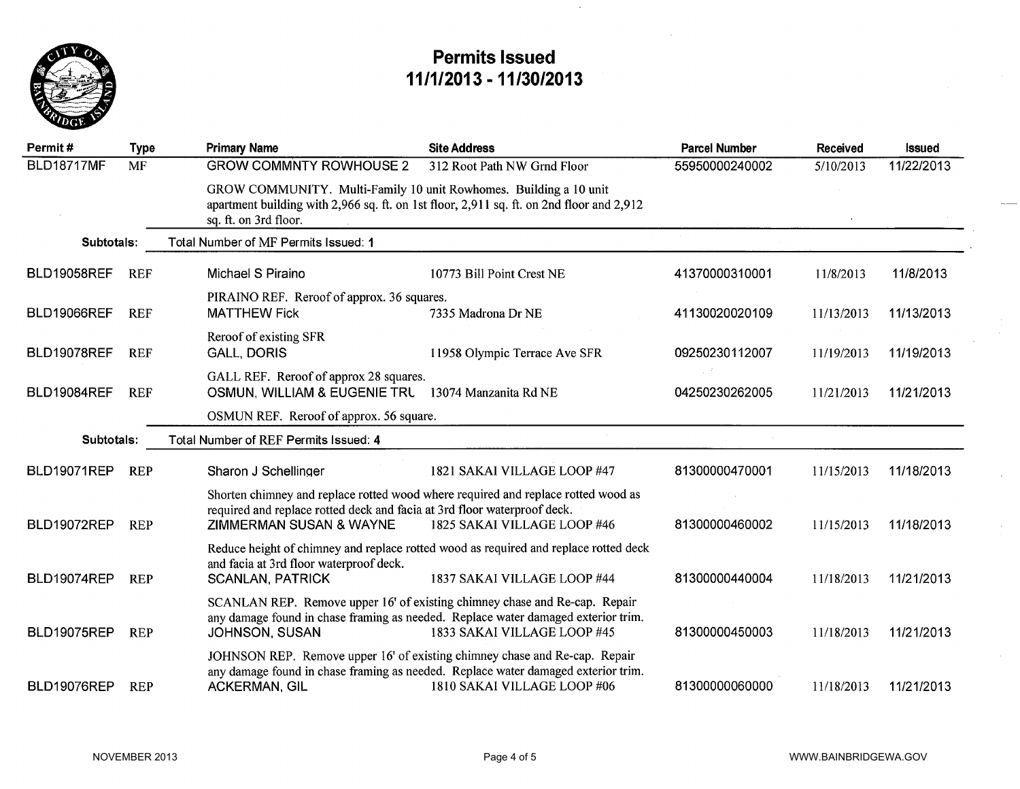

 $\mathcal{L}$ 

| Permit#            | <b>Type</b> | <b>Primary Name</b>                                                                                            | <b>Site Address</b>                                                                                              | <b>Parcel Number</b> | Received   | <b>Issued</b> |
|--------------------|-------------|----------------------------------------------------------------------------------------------------------------|------------------------------------------------------------------------------------------------------------------|----------------------|------------|---------------|
| <b>BLD18717MF</b>  | <b>MF</b>   | <b>GROW COMMNTY ROWHOUSE 2</b>                                                                                 | 312 Root Path NW Grnd Floor                                                                                      | 55950000240002       | 5/10/2013  | 11/22/2013    |
|                    |             | GROW COMMUNITY. Multi-Family 10 unit Rowhomes. Building a 10 unit<br>sq. ft. on 3rd floor.                     | apartment building with 2,966 sq. ft. on 1st floor, 2,911 sq. ft. on 2nd floor and 2,912                         |                      |            |               |
| Subtotals:         |             | Total Number of MF Permits Issued: 1                                                                           |                                                                                                                  |                      |            |               |
| <b>BLD19058REF</b> | <b>REF</b>  | Michael S Piraino                                                                                              | 10773 Bill Point Crest NE                                                                                        | 41370000310001       | 11/8/2013  | 11/8/2013     |
| <b>BLD19066REF</b> | <b>REF</b>  | PIRAINO REF. Reroof of approx. 36 squares.<br><b>MATTHEW Fick</b>                                              | 7335 Madrona Dr NE                                                                                               | 41130020020109       | 11/13/2013 | 11/13/2013    |
|                    |             |                                                                                                                |                                                                                                                  |                      |            |               |
| <b>BLD19078REF</b> | <b>REF</b>  | Reroof of existing SFR<br><b>GALL, DORIS</b>                                                                   | 11958 Olympic Terrace Ave SFR                                                                                    | 09250230112007       | 11/19/2013 | 11/19/2013    |
| <b>BLD19084REF</b> | <b>REF</b>  | GALL REF. Reroof of approx 28 squares.<br>OSMUN, WILLIAM & EUGENIE TRL 13074 Manzanita Rd NE                   |                                                                                                                  | 04250230262005       | 11/21/2013 | 11/21/2013    |
|                    |             | OSMUN REF. Reroof of approx. 56 square.                                                                        |                                                                                                                  |                      |            |               |
| Subtotals:         |             | Total Number of REF Permits Issued: 4                                                                          |                                                                                                                  |                      |            |               |
| <b>BLD19071REP</b> | <b>REP</b>  | Sharon J Schellinger                                                                                           | 1821 SAKAI VILLAGE LOOP #47                                                                                      | 81300000470001       | 11/15/2013 | 11/18/2013    |
| BLD19072REP        | <b>REP</b>  | required and replace rotted deck and facia at 3rd floor waterproof deck.<br><b>ZIMMERMAN SUSAN &amp; WAYNE</b> | Shorten chimney and replace rotted wood where required and replace rotted wood as<br>1825 SAKAI VILLAGE LOOP #46 | 81300000460002       | 11/15/2013 | 11/18/2013    |
|                    |             |                                                                                                                | Reduce height of chimney and replace rotted wood as required and replace rotted deck                             |                      |            |               |
| BLD19074REP        | <b>REP</b>  | and facia at 3rd floor waterproof deck.<br><b>SCANLAN, PATRICK</b>                                             | 1837 SAKAI VILLAGE LOOP #44                                                                                      | 81300000440004       | 11/18/2013 | 11/21/2013    |
| BLD19075REP        | <b>REP</b>  | SCANLAN REP. Remove upper 16' of existing chimney chase and Re-cap. Repair<br><b>JOHNSON, SUSAN</b>            | any damage found in chase framing as needed. Replace water damaged exterior trim.<br>1833 SAKAI VILLAGE LOOP #45 | 81300000450003       | 11/18/2013 | 11/21/2013    |
| BLD19076REP        | <b>REP</b>  | JOHNSON REP. Remove upper 16' of existing chimney chase and Re-cap. Repair<br>ACKERMAN, GIL                    | any damage found in chase framing as needed. Replace water damaged exterior trim.<br>1810 SAKAI VILLAGE LOOP #06 | 81300000060000       | 11/18/2013 | 11/21/2013    |

 $\mathbf{r}$